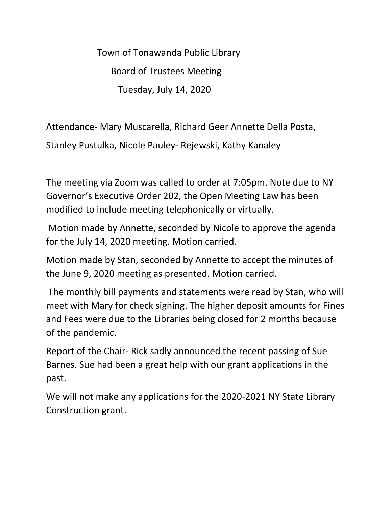Town of Tonawanda Public Library Board of Trustees Meeting Tuesday, July 14, 2020

Attendance- Mary Muscarella, Richard Geer Annette Della Posta,

Stanley Pustulka, Nicole Pauley- Rejewski, Kathy Kanaley

The meeting via Zoom was called to order at 7:05pm. Note due to NY Governor's Executive Order 202, the Open Meeting Law has been modified to include meeting telephonically or virtually.

Motion made by Annette, seconded by Nicole to approve the agenda for the July 14, 2020 meeting. Motion carried.

Motion made by Stan, seconded by Annette to accept the minutes of the June 9, 2020 meeting as presented. Motion carried.

The monthly bill payments and statements were read by Stan, who will meet with Mary for check signing. The higher deposit amounts for Fines and Fees were due to the Libraries being closed for 2 months because of the pandemic.

Report of the Chair- Rick sadly announced the recent passing of Sue Barnes. Sue had been a great help with our grant applications in the past.

We will not make any applications for the 2020-2021 NY State Library Construction grant.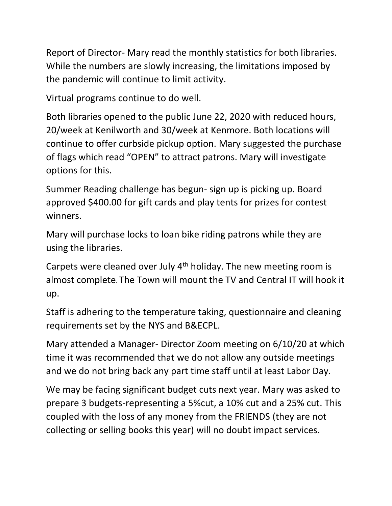Report of Director- Mary read the monthly statistics for both libraries. While the numbers are slowly increasing, the limitations imposed by the pandemic will continue to limit activity.

Virtual programs continue to do well.

Both libraries opened to the public June 22, 2020 with reduced hours, 20/week at Kenilworth and 30/week at Kenmore. Both locations will continue to offer curbside pickup option. Mary suggested the purchase of flags which read "OPEN" to attract patrons. Mary will investigate options for this.

Summer Reading challenge has begun- sign up is picking up. Board approved \$400.00 for gift cards and play tents for prizes for contest winners.

Mary will purchase locks to loan bike riding patrons while they are using the libraries.

Carpets were cleaned over July  $4<sup>th</sup>$  holiday. The new meeting room is almost complete. The Town will mount the TV and Central IT will hook it up.

Staff is adhering to the temperature taking, questionnaire and cleaning requirements set by the NYS and B&ECPL.

Mary attended a Manager- Director Zoom meeting on 6/10/20 at which time it was recommended that we do not allow any outside meetings and we do not bring back any part time staff until at least Labor Day.

We may be facing significant budget cuts next year. Mary was asked to prepare 3 budgets-representing a 5%cut, a 10% cut and a 25% cut. This coupled with the loss of any money from the FRIENDS (they are not collecting or selling books this year) will no doubt impact services.